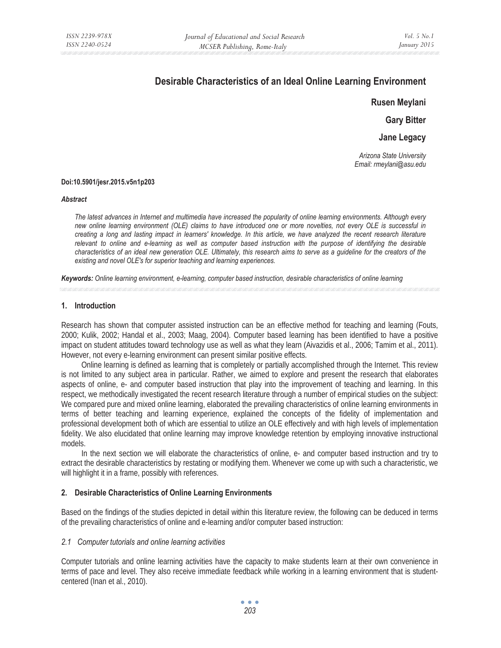# **Desirable Characteristics of an Ideal Online Learning Environment**

**Rusen Meylani** 

**Gary Bitter** 

**Jane Legacy** 

*Arizona State University Email: rmeylani@asu.edu* 

## **Doi:10.5901/jesr.2015.v5n1p203**

#### *Abstract*

*The latest advances in Internet and multimedia have increased the popularity of online learning environments. Although every new online learning environment (OLE) claims to have introduced one or more novelties, not every OLE is successful in creating a long and lasting impact in learners' knowledge. In this article, we have analyzed the recent research literature*  relevant to online and e-learning as well as computer based instruction with the purpose of identifying the desirable *characteristics of an ideal new generation OLE. Ultimately, this research aims to serve as a guideline for the creators of the existing and novel OLE's for superior teaching and learning experiences.* 

*Keywords: Online learning environment, e-learning, computer based instruction, desirable characteristics of online learning* 

# **1. Introduction**

Research has shown that computer assisted instruction can be an effective method for teaching and learning (Fouts, 2000; Kulik, 2002; Handal et al., 2003; Maag, 2004). Computer based learning has been identified to have a positive impact on student attitudes toward technology use as well as what they learn (Aivazidis et al., 2006; Tamim et al., 2011). However, not every e-learning environment can present similar positive effects.

Online learning is defined as learning that is completely or partially accomplished through the Internet. This review is not limited to any subject area in particular. Rather, we aimed to explore and present the research that elaborates aspects of online, e- and computer based instruction that play into the improvement of teaching and learning. In this respect, we methodically investigated the recent research literature through a number of empirical studies on the subject: We compared pure and mixed online learning, elaborated the prevailing characteristics of online learning environments in terms of better teaching and learning experience, explained the concepts of the fidelity of implementation and professional development both of which are essential to utilize an OLE effectively and with high levels of implementation fidelity. We also elucidated that online learning may improve knowledge retention by employing innovative instructional models.

In the next section we will elaborate the characteristics of online, e- and computer based instruction and try to extract the desirable characteristics by restating or modifying them. Whenever we come up with such a characteristic, we will highlight it in a frame, possibly with references.

## **2. Desirable Characteristics of Online Learning Environments**

Based on the findings of the studies depicted in detail within this literature review, the following can be deduced in terms of the prevailing characteristics of online and e-learning and/or computer based instruction:

## *2.1 Computer tutorials and online learning activities*

Computer tutorials and online learning activities have the capacity to make students learn at their own convenience in terms of pace and level. They also receive immediate feedback while working in a learning environment that is studentcentered (Inan et al., 2010).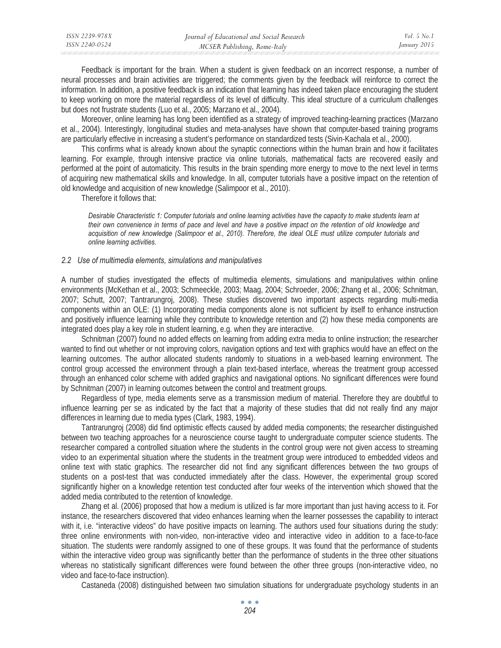| ISSN 2239-978X | Journal of Educational and Social Research | <i>Vol.</i> 5 No. 1 |
|----------------|--------------------------------------------|---------------------|
| ISSN 2240-0524 | MCSER Publishing, Rome-Italy               | January 2015        |
|                |                                            |                     |

Feedback is important for the brain. When a student is given feedback on an incorrect response, a number of neural processes and brain activities are triggered; the comments given by the feedback will reinforce to correct the information. In addition, a positive feedback is an indication that learning has indeed taken place encouraging the student to keep working on more the material regardless of its level of difficulty. This ideal structure of a curriculum challenges but does not frustrate students (Luo et al., 2005; Marzano et al., 2004).

Moreover, online learning has long been identified as a strategy of improved teaching-learning practices (Marzano et al., 2004). Interestingly, longitudinal studies and meta-analyses have shown that computer-based training programs are particularly effective in increasing a student's performance on standardized tests (Sivin-Kachala et al., 2000).

This confirms what is already known about the synaptic connections within the human brain and how it facilitates learning. For example, through intensive practice via online tutorials, mathematical facts are recovered easily and performed at the point of automaticity. This results in the brain spending more energy to move to the next level in terms of acquiring new mathematical skills and knowledge. In all, computer tutorials have a positive impact on the retention of old knowledge and acquisition of new knowledge (Salimpoor et al., 2010).

Therefore it follows that:

*Desirable Characteristic 1: Computer tutorials and online learning activities have the capacity to make students learn at their own convenience in terms of pace and level and have a positive impact on the retention of old knowledge and acquisition of new knowledge (Salimpoor et al., 2010). Therefore, the ideal OLE must utilize computer tutorials and online learning activities.* 

## *2.2 Use of multimedia elements, simulations and manipulatives*

A number of studies investigated the effects of multimedia elements, simulations and manipulatives within online environments (McKethan et al., 2003; Schmeeckle, 2003; Maag, 2004; Schroeder, 2006; Zhang et al., 2006; Schnitman, 2007; Schutt, 2007; Tantrarungroj, 2008). These studies discovered two important aspects regarding multi-media components within an OLE: (1) Incorporating media components alone is not sufficient by itself to enhance instruction and positively influence learning while they contribute to knowledge retention and (2) how these media components are integrated does play a key role in student learning, e.g. when they are interactive.

Schnitman (2007) found no added effects on learning from adding extra media to online instruction; the researcher wanted to find out whether or not improving colors, navigation options and text with graphics would have an effect on the learning outcomes. The author allocated students randomly to situations in a web-based learning environment. The control group accessed the environment through a plain text-based interface, whereas the treatment group accessed through an enhanced color scheme with added graphics and navigational options. No significant differences were found by Schnitman (2007) in learning outcomes between the control and treatment groups.

Regardless of type, media elements serve as a transmission medium of material. Therefore they are doubtful to influence learning per se as indicated by the fact that a majority of these studies that did not really find any major differences in learning due to media types (Clark, 1983, 1994).

Tantrarungroj (2008) did find optimistic effects caused by added media components; the researcher distinguished between two teaching approaches for a neuroscience course taught to undergraduate computer science students. The researcher compared a controlled situation where the students in the control group were not given access to streaming video to an experimental situation where the students in the treatment group were introduced to embedded videos and online text with static graphics. The researcher did not find any significant differences between the two groups of students on a post-test that was conducted immediately after the class. However, the experimental group scored significantly higher on a knowledge retention test conducted after four weeks of the intervention which showed that the added media contributed to the retention of knowledge.

Zhang et al. (2006) proposed that how a medium is utilized is far more important than just having access to it. For instance, the researchers discovered that video enhances learning when the learner possesses the capability to interact with it, i.e. "interactive videos" do have positive impacts on learning. The authors used four situations during the study: three online environments with non-video, non-interactive video and interactive video in addition to a face-to-face situation. The students were randomly assigned to one of these groups. It was found that the performance of students within the interactive video group was significantly better than the performance of students in the three other situations whereas no statistically significant differences were found between the other three groups (non-interactive video, no video and face-to-face instruction).

Castaneda (2008) distinguished between two simulation situations for undergraduate psychology students in an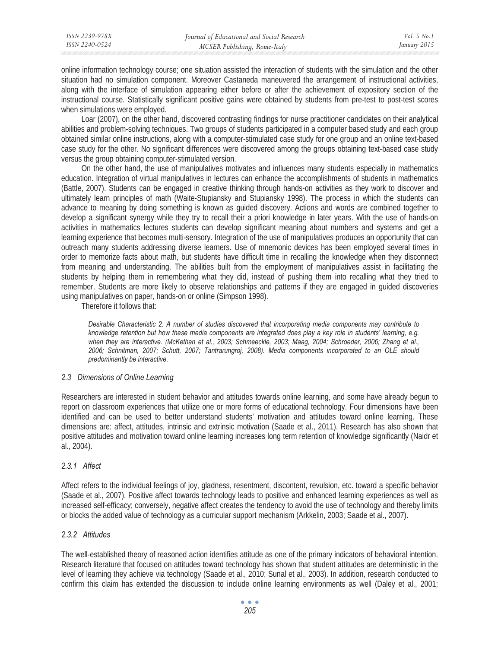*Vol. 5 No.1 January 2015* 

online information technology course; one situation assisted the interaction of students with the simulation and the other situation had no simulation component. Moreover Castaneda maneuvered the arrangement of instructional activities, along with the interface of simulation appearing either before or after the achievement of expository section of the instructional course. Statistically significant positive gains were obtained by students from pre-test to post-test scores when simulations were employed.

Loar (2007), on the other hand, discovered contrasting findings for nurse practitioner candidates on their analytical abilities and problem-solving techniques. Two groups of students participated in a computer based study and each group obtained similar online instructions, along with a computer-stimulated case study for one group and an online text-based case study for the other. No significant differences were discovered among the groups obtaining text-based case study versus the group obtaining computer-stimulated version.

On the other hand, the use of manipulatives motivates and influences many students especially in mathematics education. Integration of virtual manipulatives in lectures can enhance the accomplishments of students in mathematics (Battle, 2007). Students can be engaged in creative thinking through hands-on activities as they work to discover and ultimately learn principles of math (Waite-Stupiansky and Stupiansky 1998). The process in which the students can advance to meaning by doing something is known as guided discovery. Actions and words are combined together to develop a significant synergy while they try to recall their a priori knowledge in later years. With the use of hands-on activities in mathematics lectures students can develop significant meaning about numbers and systems and get a learning experience that becomes multi-sensory. Integration of the use of manipulatives produces an opportunity that can outreach many students addressing diverse learners. Use of mnemonic devices has been employed several times in order to memorize facts about math, but students have difficult time in recalling the knowledge when they disconnect from meaning and understanding. The abilities built from the employment of manipulatives assist in facilitating the students by helping them in remembering what they did, instead of pushing them into recalling what they tried to remember. Students are more likely to observe relationships and patterns if they are engaged in guided discoveries using manipulatives on paper, hands-on or online (Simpson 1998).

Therefore it follows that:

*Desirable Characteristic 2: A number of studies discovered that incorporating media components may contribute to knowledge retention but how these media components are integrated does play a key role in students' learning, e.g. when they are interactive. (McKethan et al., 2003; Schmeeckle, 2003; Maag, 2004; Schroeder, 2006; Zhang et al., 2006; Schnitman, 2007; Schutt, 2007; Tantrarungroj, 2008). Media components incorporated to an OLE should predominantly be interactive.* 

# *2.3 Dimensions of Online Learning*

Researchers are interested in student behavior and attitudes towards online learning, and some have already begun to report on classroom experiences that utilize one or more forms of educational technology. Four dimensions have been identified and can be used to better understand students' motivation and attitudes toward online learning. These dimensions are: affect, attitudes, intrinsic and extrinsic motivation (Saade et al., 2011). Research has also shown that positive attitudes and motivation toward online learning increases long term retention of knowledge significantly (Naidr et al., 2004).

## *2.3.1 Affect*

Affect refers to the individual feelings of joy, gladness, resentment, discontent, revulsion, etc. toward a specific behavior (Saade et al., 2007). Positive affect towards technology leads to positive and enhanced learning experiences as well as increased self-efficacy; conversely, negative affect creates the tendency to avoid the use of technology and thereby limits or blocks the added value of technology as a curricular support mechanism (Arkkelin, 2003; Saade et al., 2007).

## *2.3.2 Attitudes*

The well-established theory of reasoned action identifies attitude as one of the primary indicators of behavioral intention. Research literature that focused on attitudes toward technology has shown that student attitudes are deterministic in the level of learning they achieve via technology (Saade et al., 2010; Sunal et al., 2003). In addition, research conducted to confirm this claim has extended the discussion to include online learning environments as well (Daley et al., 2001;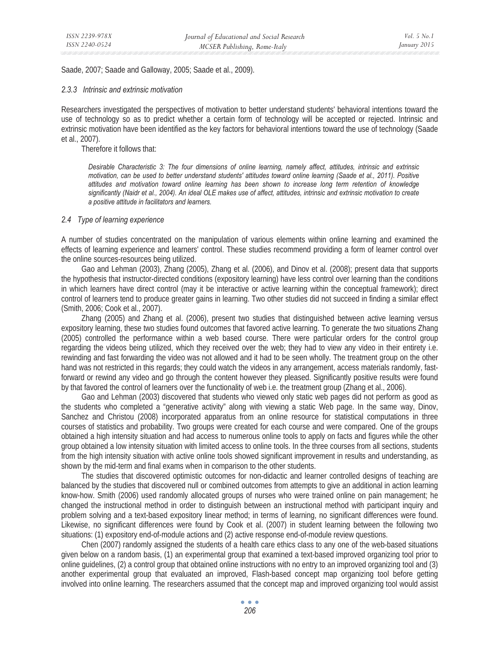Saade, 2007; Saade and Galloway, 2005; Saade et al., 2009).

#### *2.3.3 Intrinsic and extrinsic motivation*

Researchers investigated the perspectives of motivation to better understand students' behavioral intentions toward the use of technology so as to predict whether a certain form of technology will be accepted or rejected. Intrinsic and extrinsic motivation have been identified as the key factors for behavioral intentions toward the use of technology (Saade et al., 2007).

Therefore it follows that:

*Desirable Characteristic 3: The four dimensions of online learning, namely affect, attitudes, intrinsic and extrinsic motivation, can be used to better understand students' attitudes toward online learning (Saade et al., 2011). Positive attitudes and motivation toward online learning has been shown to increase long term retention of knowledge significantly (Naidr et al., 2004). An ideal OLE makes use of affect, attitudes, intrinsic and extrinsic motivation to create a positive attitude in facilitators and learners.* 

## *2.4 Type of learning experience*

A number of studies concentrated on the manipulation of various elements within online learning and examined the effects of learning experience and learners' control. These studies recommend providing a form of learner control over the online sources-resources being utilized.

Gao and Lehman (2003), Zhang (2005), Zhang et al. (2006), and Dinov et al. (2008); present data that supports the hypothesis that instructor-directed conditions (expository learning) have less control over learning than the conditions in which learners have direct control (may it be interactive or active learning within the conceptual framework); direct control of learners tend to produce greater gains in learning. Two other studies did not succeed in finding a similar effect (Smith, 2006; Cook et al., 2007).

Zhang (2005) and Zhang et al. (2006), present two studies that distinguished between active learning versus expository learning, these two studies found outcomes that favored active learning. To generate the two situations Zhang (2005) controlled the performance within a web based course. There were particular orders for the control group regarding the videos being utilized, which they received over the web; they had to view any video in their entirety i.e. rewinding and fast forwarding the video was not allowed and it had to be seen wholly. The treatment group on the other hand was not restricted in this regards; they could watch the videos in any arrangement, access materials randomly, fastforward or rewind any video and go through the content however they pleased. Significantly positive results were found by that favored the control of learners over the functionality of web i.e. the treatment group (Zhang et al., 2006).

Gao and Lehman (2003) discovered that students who viewed only static web pages did not perform as good as the students who completed a "generative activity" along with viewing a static Web page. In the same way, Dinov, Sanchez and Christou (2008) incorporated apparatus from an online resource for statistical computations in three courses of statistics and probability. Two groups were created for each course and were compared. One of the groups obtained a high intensity situation and had access to numerous online tools to apply on facts and figures while the other group obtained a low intensity situation with limited access to online tools. In the three courses from all sections, students from the high intensity situation with active online tools showed significant improvement in results and understanding, as shown by the mid-term and final exams when in comparison to the other students.

The studies that discovered optimistic outcomes for non-didactic and learner controlled designs of teaching are balanced by the studies that discovered null or combined outcomes from attempts to give an additional in action learning know-how. Smith (2006) used randomly allocated groups of nurses who were trained online on pain management; he changed the instructional method in order to distinguish between an instructional method with participant inquiry and problem solving and a text-based expository linear method; in terms of learning, no significant differences were found. Likewise, no significant differences were found by Cook et al. (2007) in student learning between the following two situations: (1) expository end-of-module actions and (2) active response end-of-module review questions.

Chen (2007) randomly assigned the students of a health care ethics class to any one of the web-based situations given below on a random basis, (1) an experimental group that examined a text-based improved organizing tool prior to online guidelines, (2) a control group that obtained online instructions with no entry to an improved organizing tool and (3) another experimental group that evaluated an improved, Flash-based concept map organizing tool before getting involved into online learning. The researchers assumed that the concept map and improved organizing tool would assist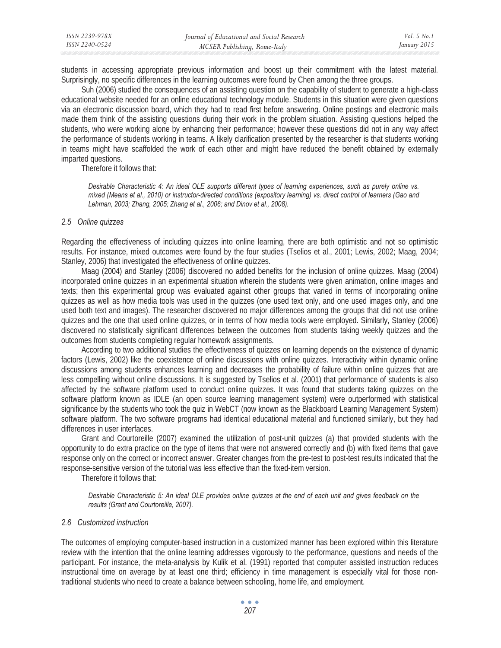students in accessing appropriate previous information and boost up their commitment with the latest material. Surprisingly, no specific differences in the learning outcomes were found by Chen among the three groups.

Suh (2006) studied the consequences of an assisting question on the capability of student to generate a high-class educational website needed for an online educational technology module. Students in this situation were given questions via an electronic discussion board, which they had to read first before answering. Online postings and electronic mails made them think of the assisting questions during their work in the problem situation. Assisting questions helped the students, who were working alone by enhancing their performance; however these questions did not in any way affect the performance of students working in teams. A likely clarification presented by the researcher is that students working in teams might have scaffolded the work of each other and might have reduced the benefit obtained by externally imparted questions.

Therefore it follows that:

*Desirable Characteristic 4: An ideal OLE supports different types of learning experiences, such as purely online vs. mixed (Means et al., 2010) or instructor-directed conditions (expository learning) vs. direct control of learners (Gao and Lehman, 2003; Zhang, 2005; Zhang et al., 2006; and Dinov et al., 2008).* 

## *2.5 Online quizzes*

Regarding the effectiveness of including quizzes into online learning, there are both optimistic and not so optimistic results. For instance, mixed outcomes were found by the four studies (Tselios et al., 2001; Lewis, 2002; Maag, 2004; Stanley, 2006) that investigated the effectiveness of online quizzes.

Maag (2004) and Stanley (2006) discovered no added benefits for the inclusion of online quizzes. Maag (2004) incorporated online quizzes in an experimental situation wherein the students were given animation, online images and texts; then this experimental group was evaluated against other groups that varied in terms of incorporating online quizzes as well as how media tools was used in the quizzes (one used text only, and one used images only, and one used both text and images). The researcher discovered no major differences among the groups that did not use online quizzes and the one that used online quizzes, or in terms of how media tools were employed. Similarly, Stanley (2006) discovered no statistically significant differences between the outcomes from students taking weekly quizzes and the outcomes from students completing regular homework assignments.

According to two additional studies the effectiveness of quizzes on learning depends on the existence of dynamic factors (Lewis, 2002) like the coexistence of online discussions with online quizzes. Interactivity within dynamic online discussions among students enhances learning and decreases the probability of failure within online quizzes that are less compelling without online discussions. It is suggested by Tselios et al. (2001) that performance of students is also affected by the software platform used to conduct online quizzes. It was found that students taking quizzes on the software platform known as IDLE (an open source learning management system) were outperformed with statistical significance by the students who took the quiz in WebCT (now known as the Blackboard Learning Management System) software platform. The two software programs had identical educational material and functioned similarly, but they had differences in user interfaces.

Grant and Courtoreille (2007) examined the utilization of post-unit quizzes (a) that provided students with the opportunity to do extra practice on the type of items that were not answered correctly and (b) with fixed items that gave response only on the correct or incorrect answer. Greater changes from the pre-test to post-test results indicated that the response-sensitive version of the tutorial was less effective than the fixed-item version.

Therefore it follows that:

*Desirable Characteristic 5: An ideal OLE provides online quizzes at the end of each unit and gives feedback on the results (Grant and Courtoreille, 2007).* 

## *2.6 Customized instruction*

The outcomes of employing computer-based instruction in a customized manner has been explored within this literature review with the intention that the online learning addresses vigorously to the performance, questions and needs of the participant. For instance, the meta-analysis by Kulik et al. (1991) reported that computer assisted instruction reduces instructional time on average by at least one third; efficiency in time management is especially vital for those nontraditional students who need to create a balance between schooling, home life, and employment.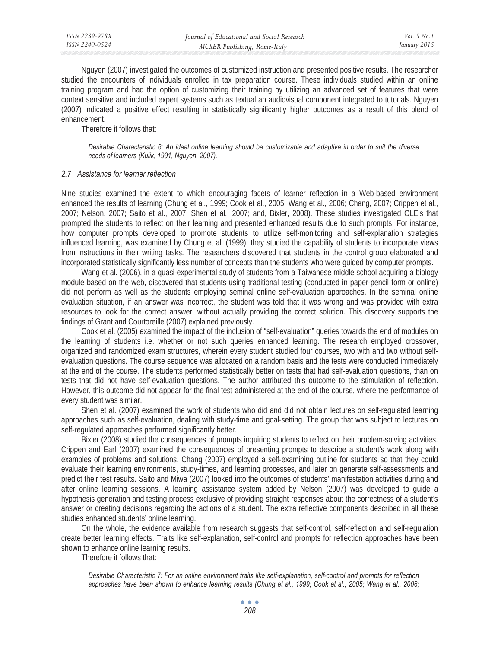Nguyen (2007) investigated the outcomes of customized instruction and presented positive results. The researcher studied the encounters of individuals enrolled in tax preparation course. These individuals studied within an online training program and had the option of customizing their training by utilizing an advanced set of features that were context sensitive and included expert systems such as textual an audiovisual component integrated to tutorials. Nguyen (2007) indicated a positive effect resulting in statistically significantly higher outcomes as a result of this blend of enhancement.

Therefore it follows that:

*Desirable Characteristic 6: An ideal online learning should be customizable and adaptive in order to suit the diverse needs of learners (Kulik, 1991, Nguyen, 2007).* 

## *2.7 Assistance for learner reflection*

Nine studies examined the extent to which encouraging facets of learner reflection in a Web-based environment enhanced the results of learning (Chung et al., 1999; Cook et al., 2005; Wang et al., 2006; Chang, 2007; Crippen et al., 2007; Nelson, 2007; Saito et al., 2007; Shen et al., 2007; and, Bixler, 2008). These studies investigated OLE's that prompted the students to reflect on their learning and presented enhanced results due to such prompts. For instance, how computer prompts developed to promote students to utilize self-monitoring and self-explanation strategies influenced learning, was examined by Chung et al. (1999); they studied the capability of students to incorporate views from instructions in their writing tasks. The researchers discovered that students in the control group elaborated and incorporated statistically significantly less number of concepts than the students who were guided by computer prompts.

Wang et al. (2006), in a quasi-experimental study of students from a Taiwanese middle school acquiring a biology module based on the web, discovered that students using traditional testing (conducted in paper-pencil form or online) did not perform as well as the students employing seminal online self-evaluation approaches. In the seminal online evaluation situation, if an answer was incorrect, the student was told that it was wrong and was provided with extra resources to look for the correct answer, without actually providing the correct solution. This discovery supports the findings of Grant and Courtoreille (2007) explained previously.

Cook et al. (2005) examined the impact of the inclusion of "self-evaluation" queries towards the end of modules on the learning of students i.e. whether or not such queries enhanced learning. The research employed crossover, organized and randomized exam structures, wherein every student studied four courses, two with and two without selfevaluation questions. The course sequence was allocated on a random basis and the tests were conducted immediately at the end of the course. The students performed statistically better on tests that had self-evaluation questions, than on tests that did not have self-evaluation questions. The author attributed this outcome to the stimulation of reflection. However, this outcome did not appear for the final test administered at the end of the course, where the performance of every student was similar.

Shen et al. (2007) examined the work of students who did and did not obtain lectures on self-regulated learning approaches such as self-evaluation, dealing with study-time and goal-setting. The group that was subject to lectures on self-regulated approaches performed significantly better.

Bixler (2008) studied the consequences of prompts inquiring students to reflect on their problem-solving activities. Crippen and Earl (2007) examined the consequences of presenting prompts to describe a student's work along with examples of problems and solutions. Chang (2007) employed a self-examining outline for students so that they could evaluate their learning environments, study-times, and learning processes, and later on generate self-assessments and predict their test results. Saito and Miwa (2007) looked into the outcomes of students' manifestation activities during and after online learning sessions. A learning assistance system added by Nelson (2007) was developed to guide a hypothesis generation and testing process exclusive of providing straight responses about the correctness of a student's answer or creating decisions regarding the actions of a student. The extra reflective components described in all these studies enhanced students' online learning.

On the whole, the evidence available from research suggests that self-control, self-reflection and self-regulation create better learning effects. Traits like self-explanation, self-control and prompts for reflection approaches have been shown to enhance online learning results.

Therefore it follows that:

*Desirable Characteristic 7: For an online environment traits like self-explanation, self-control and prompts for reflection approaches have been shown to enhance learning results (Chung et al., 1999; Cook et al., 2005; Wang et al., 2006;*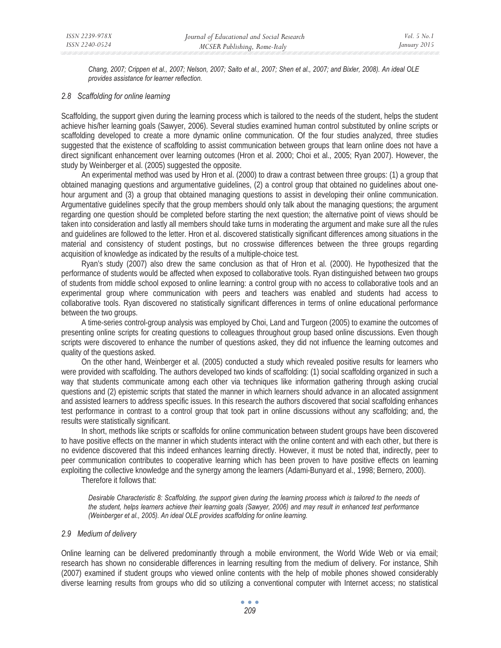*Chang, 2007; Crippen et al., 2007; Nelson, 2007; Saito et al., 2007; Shen et al., 2007; and Bixler, 2008). An ideal OLE provides assistance for learner reflection.* 

## *2.8 Scaffolding for online learning*

Scaffolding, the support given during the learning process which is tailored to the needs of the student, helps the student achieve his/her learning goals (Sawyer, 2006). Several studies examined human control substituted by online scripts or scaffolding developed to create a more dynamic online communication. Of the four studies analyzed, three studies suggested that the existence of scaffolding to assist communication between groups that learn online does not have a direct significant enhancement over learning outcomes (Hron et al. 2000; Choi et al., 2005; Ryan 2007). However, the study by Weinberger et al. (2005) suggested the opposite.

An experimental method was used by Hron et al. (2000) to draw a contrast between three groups: (1) a group that obtained managing questions and argumentative guidelines, (2) a control group that obtained no guidelines about onehour argument and (3) a group that obtained managing questions to assist in developing their online communication. Argumentative guidelines specify that the group members should only talk about the managing questions; the argument regarding one question should be completed before starting the next question; the alternative point of views should be taken into consideration and lastly all members should take turns in moderating the argument and make sure all the rules and guidelines are followed to the letter. Hron et al. discovered statistically significant differences among situations in the material and consistency of student postings, but no crosswise differences between the three groups regarding acquisition of knowledge as indicated by the results of a multiple-choice test.

Ryan's study (2007) also drew the same conclusion as that of Hron et al. (2000). He hypothesized that the performance of students would be affected when exposed to collaborative tools. Ryan distinguished between two groups of students from middle school exposed to online learning: a control group with no access to collaborative tools and an experimental group where communication with peers and teachers was enabled and students had access to collaborative tools. Ryan discovered no statistically significant differences in terms of online educational performance between the two groups.

A time-series control-group analysis was employed by Choi, Land and Turgeon (2005) to examine the outcomes of presenting online scripts for creating questions to colleagues throughout group based online discussions. Even though scripts were discovered to enhance the number of questions asked, they did not influence the learning outcomes and quality of the questions asked.

On the other hand, Weinberger et al. (2005) conducted a study which revealed positive results for learners who were provided with scaffolding. The authors developed two kinds of scaffolding: (1) social scaffolding organized in such a way that students communicate among each other via techniques like information gathering through asking crucial questions and (2) epistemic scripts that stated the manner in which learners should advance in an allocated assignment and assisted learners to address specific issues. In this research the authors discovered that social scaffolding enhances test performance in contrast to a control group that took part in online discussions without any scaffolding; and, the results were statistically significant.

In short, methods like scripts or scaffolds for online communication between student groups have been discovered to have positive effects on the manner in which students interact with the online content and with each other, but there is no evidence discovered that this indeed enhances learning directly. However, it must be noted that, indirectly, peer to peer communication contributes to cooperative learning which has been proven to have positive effects on learning exploiting the collective knowledge and the synergy among the learners (Adami-Bunyard et al., 1998; Bernero, 2000).

Therefore it follows that:

*Desirable Characteristic 8: Scaffolding, the support given during the learning process which is tailored to the needs of the student, helps learners achieve their learning goals (Sawyer, 2006) and may result in enhanced test performance (Weinberger et al., 2005). An ideal OLE provides scaffolding for online learning.* 

## *2.9 Medium of delivery*

Online learning can be delivered predominantly through a mobile environment, the World Wide Web or via email; research has shown no considerable differences in learning resulting from the medium of delivery. For instance, Shih (2007) examined if student groups who viewed online contents with the help of mobile phones showed considerably diverse learning results from groups who did so utilizing a conventional computer with Internet access; no statistical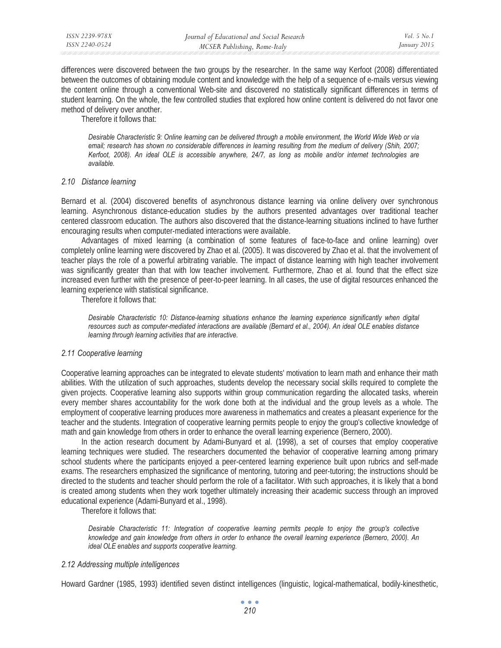differences were discovered between the two groups by the researcher. In the same way Kerfoot (2008) differentiated between the outcomes of obtaining module content and knowledge with the help of a sequence of e-mails versus viewing the content online through a conventional Web-site and discovered no statistically significant differences in terms of student learning. On the whole, the few controlled studies that explored how online content is delivered do not favor one method of delivery over another.

Therefore it follows that:

*Desirable Characteristic 9: Online learning can be delivered through a mobile environment, the World Wide Web or via*  email; research has shown no considerable differences in learning resulting from the medium of delivery (Shih, 2007; *Kerfoot, 2008). An ideal OLE is accessible anywhere, 24/7, as long as mobile and/or internet technologies are available.* 

## *2.10 Distance learning*

Bernard et al. (2004) discovered benefits of asynchronous distance learning via online delivery over synchronous learning. Asynchronous distance-education studies by the authors presented advantages over traditional teacher centered classroom education. The authors also discovered that the distance-learning situations inclined to have further encouraging results when computer-mediated interactions were available.

Advantages of mixed learning (a combination of some features of face-to-face and online learning) over completely online learning were discovered by Zhao et al. (2005). It was discovered by Zhao et al. that the involvement of teacher plays the role of a powerful arbitrating variable. The impact of distance learning with high teacher involvement was significantly greater than that with low teacher involvement. Furthermore, Zhao et al. found that the effect size increased even further with the presence of peer-to-peer learning. In all cases, the use of digital resources enhanced the learning experience with statistical significance.

Therefore it follows that:

*Desirable Characteristic 10: Distance-learning situations enhance the learning experience significantly when digital resources such as computer-mediated interactions are available (Bernard et al., 2004). An ideal OLE enables distance learning through learning activities that are interactive.* 

# *2.11 Cooperative learning*

Cooperative learning approaches can be integrated to elevate students' motivation to learn math and enhance their math abilities. With the utilization of such approaches, students develop the necessary social skills required to complete the given projects. Cooperative learning also supports within group communication regarding the allocated tasks, wherein every member shares accountability for the work done both at the individual and the group levels as a whole. The employment of cooperative learning produces more awareness in mathematics and creates a pleasant experience for the teacher and the students. Integration of cooperative learning permits people to enjoy the group's collective knowledge of math and gain knowledge from others in order to enhance the overall learning experience (Bernero, 2000).

In the action research document by Adami-Bunyard et al. (1998), a set of courses that employ cooperative learning techniques were studied. The researchers documented the behavior of cooperative learning among primary school students where the participants enjoyed a peer-centered learning experience built upon rubrics and self-made exams. The researchers emphasized the significance of mentoring, tutoring and peer-tutoring; the instructions should be directed to the students and teacher should perform the role of a facilitator. With such approaches, it is likely that a bond is created among students when they work together ultimately increasing their academic success through an improved educational experience (Adami-Bunyard et al., 1998).

Therefore it follows that:

*Desirable Characteristic 11: Integration of cooperative learning permits people to enjoy the group's collective knowledge and gain knowledge from others in order to enhance the overall learning experience (Bernero, 2000). An ideal OLE enables and supports cooperative learning.* 

## *2.12 Addressing multiple intelligences*

Howard Gardner (1985, 1993) identified seven distinct intelligences (linguistic, logical-mathematical, bodily-kinesthetic,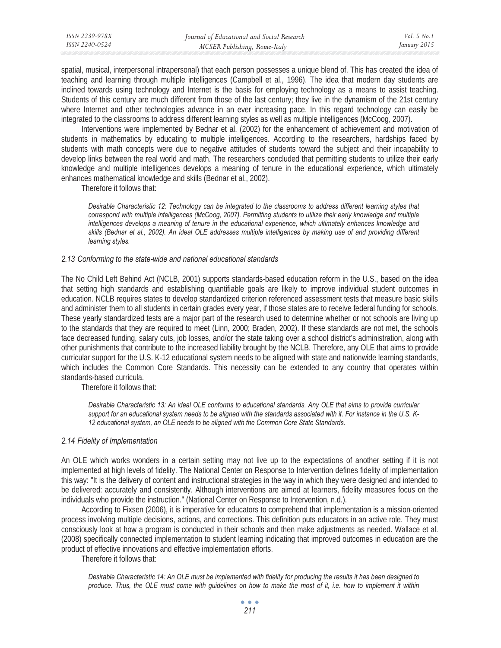spatial, musical, interpersonal intrapersonal) that each person possesses a unique blend of. This has created the idea of teaching and learning through multiple intelligences (Campbell et al., 1996). The idea that modern day students are inclined towards using technology and Internet is the basis for employing technology as a means to assist teaching. Students of this century are much different from those of the last century; they live in the dynamism of the 21st century where Internet and other technologies advance in an ever increasing pace. In this regard technology can easily be integrated to the classrooms to address different learning styles as well as multiple intelligences (McCoog, 2007).

Interventions were implemented by Bednar et al. (2002) for the enhancement of achievement and motivation of students in mathematics by educating to multiple intelligences. According to the researchers, hardships faced by students with math concepts were due to negative attitudes of students toward the subject and their incapability to develop links between the real world and math. The researchers concluded that permitting students to utilize their early knowledge and multiple intelligences develops a meaning of tenure in the educational experience, which ultimately enhances mathematical knowledge and skills (Bednar et al., 2002).

Therefore it follows that:

*Desirable Characteristic 12: Technology can be integrated to the classrooms to address different learning styles that correspond with multiple intelligences (McCoog, 2007). Permitting students to utilize their early knowledge and multiple intelligences develops a meaning of tenure in the educational experience, which ultimately enhances knowledge and skills (Bednar et al., 2002). An ideal OLE addresses multiple intelligences by making use of and providing different learning styles.* 

# *2.13 Conforming to the state-wide and national educational standards*

The No Child Left Behind Act (NCLB, 2001) supports standards-based education reform in the U.S., based on the idea that setting high standards and establishing quantifiable goals are likely to improve individual student outcomes in education. NCLB requires states to develop standardized criterion referenced assessment tests that measure basic skills and administer them to all students in certain grades every year, if those states are to receive federal funding for schools. These yearly standardized tests are a major part of the research used to determine whether or not schools are living up to the standards that they are required to meet (Linn, 2000; Braden, 2002). If these standards are not met, the schools face decreased funding, salary cuts, job losses, and/or the state taking over a school district's administration, along with other punishments that contribute to the increased liability brought by the NCLB. Therefore, any OLE that aims to provide curricular support for the U.S. K-12 educational system needs to be aligned with state and nationwide learning standards, which includes the Common Core Standards. This necessity can be extended to any country that operates within standards-based curricula.

Therefore it follows that:

*Desirable Characteristic 13: An ideal OLE conforms to educational standards. Any OLE that aims to provide curricular support for an educational system needs to be aligned with the standards associated with it. For instance in the U.S. K-12 educational system, an OLE needs to be aligned with the Common Core State Standards.* 

# *2.14 Fidelity of Implementation*

An OLE which works wonders in a certain setting may not live up to the expectations of another setting if it is not implemented at high levels of fidelity. The National Center on Response to Intervention defines fidelity of implementation this way: "It is the delivery of content and instructional strategies in the way in which they were designed and intended to be delivered: accurately and consistently. Although interventions are aimed at learners, fidelity measures focus on the individuals who provide the instruction." (National Center on Response to Intervention, n.d.).

According to Fixsen (2006), it is imperative for educators to comprehend that implementation is a mission-oriented process involving multiple decisions, actions, and corrections. This definition puts educators in an active role. They must consciously look at how a program is conducted in their schools and then make adjustments as needed. Wallace et al. (2008) specifically connected implementation to student learning indicating that improved outcomes in education are the product of effective innovations and effective implementation efforts.

Therefore it follows that:

*Desirable Characteristic 14: An OLE must be implemented with fidelity for producing the results it has been designed to produce. Thus, the OLE must come with guidelines on how to make the most of it, i.e. how to implement it within*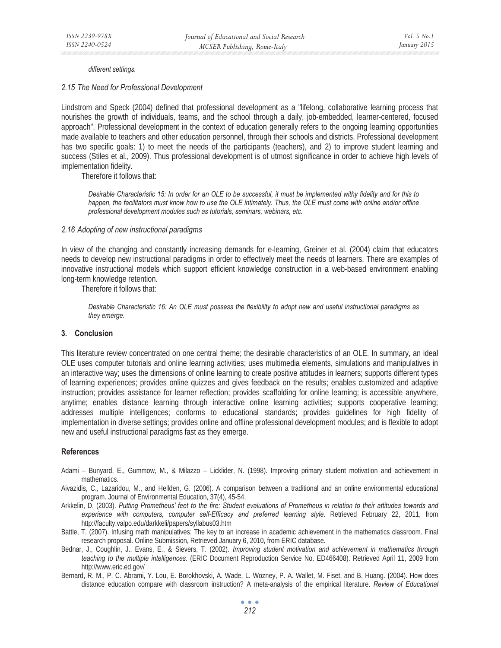*different settings.* 

#### *2.15 The Need for Professional Development*

Lindstrom and Speck (2004) defined that professional development as a "lifelong, collaborative learning process that nourishes the growth of individuals, teams, and the school through a daily, job-embedded, learner-centered, focused approach". Professional development in the context of education generally refers to the ongoing learning opportunities made available to teachers and other education personnel, through their schools and districts. Professional development has two specific goals: 1) to meet the needs of the participants (teachers), and 2) to improve student learning and success (Stiles et al., 2009). Thus professional development is of utmost significance in order to achieve high levels of implementation fidelity.

Therefore it follows that:

*Desirable Characteristic 15: In order for an OLE to be successful, it must be implemented withy fidelity and for this to*  happen, the facilitators must know how to use the OLE intimately. Thus, the OLE must come with online and/or offline *professional development modules such as tutorials, seminars, webinars, etc.* 

#### *2.16 Adopting of new instructional paradigms*

In view of the changing and constantly increasing demands for e-learning, Greiner et al. (2004) claim that educators needs to develop new instructional paradigms in order to effectively meet the needs of learners. There are examples of innovative instructional models which support efficient knowledge construction in a web-based environment enabling long-term knowledge retention.

Therefore it follows that:

*Desirable Characteristic 16: An OLE must possess the flexibility to adopt new and useful instructional paradigms as they emerge.* 

## **3. Conclusion**

This literature review concentrated on one central theme; the desirable characteristics of an OLE. In summary, an ideal OLE uses computer tutorials and online learning activities; uses multimedia elements, simulations and manipulatives in an interactive way; uses the dimensions of online learning to create positive attitudes in learners; supports different types of learning experiences; provides online quizzes and gives feedback on the results; enables customized and adaptive instruction; provides assistance for learner reflection; provides scaffolding for online learning; is accessible anywhere, anytime; enables distance learning through interactive online learning activities; supports cooperative learning; addresses multiple intelligences; conforms to educational standards; provides guidelines for high fidelity of implementation in diverse settings; provides online and offline professional development modules; and is flexible to adopt new and useful instructional paradigms fast as they emerge.

## **References**

- Adami Bunyard, E., Gummow, M., & Milazzo Licklider, N. (1998). Improving primary student motivation and achievement in mathematics.
- Aivazidis, C., Lazaridou, M., and Hellden, G. (2006). A comparison between a traditional and an online environmental educational program. Journal of Environmental Education, 37(4), 45-54.
- Arkkelin, D. (2003). *Putting Prometheus' feet to the fire: Student evaluations of Prometheus in relation to their attitudes towards and*  experience with computers, computer self-Efficacy and preferred learning style. Retrieved February 22, 2011, from http://faculty.valpo.edu/darkkeli/papers/syllabus03.htm
- Battle, T. (2007). Infusing math manipulatives: The key to an increase in academic achievement in the mathematics classroom. Final research proposal. Online Submission, Retrieved January 6, 2010, from ERIC database.
- Bednar, J., Coughlin, J., Evans, E., & Sievers, T. (2002). *Improving student motivation and achievement in mathematics through teaching to the multiple intelligences*. (ERIC Document Reproduction Service No. ED466408). Retrieved April 11, 2009 from http://www.eric.ed.gov/
- Bernard, R. M., P. C. Abrami, Y. Lou, E. Borokhovski, A. Wade, L. Wozney, P. A. Wallet, M. Fiset, and B. Huang. **(**2004). How does distance education compare with classroom instruction? A meta-analysis of the empirical literature. *Review of Educational*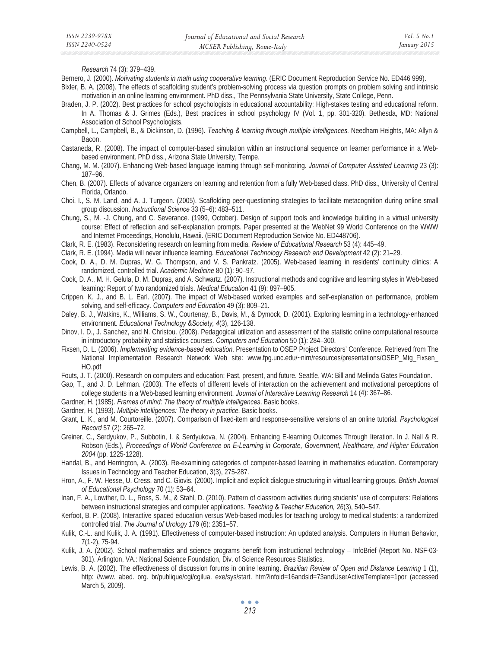*Research* 74 (3): 379–439.

Bernero, J. (2000). *Motivating students in math using cooperative learning*. (ERIC Document Reproduction Service No. ED446 999).

Bixler, B. A. (2008). The effects of scaffolding student's problem-solving process via question prompts on problem solving and intrinsic motivation in an online learning environment. PhD diss., The Pennsylvania State University, State College, Penn.

Braden, J. P. (2002). Best practices for school psychologists in educational accountability: High-stakes testing and educational reform. In A. Thomas & J. Grimes (Eds.), Best practices in school psychology IV (Vol. 1, pp. 301-320). Bethesda, MD: National Association of School Psychologists.

Campbell, L., Campbell, B., & Dickinson, D. (1996). *Teaching & learning through multiple intelligences.* Needham Heights, MA: Allyn & Bacon.

Castaneda, R. (2008). The impact of computer-based simulation within an instructional sequence on learner performance in a Webbased environment. PhD diss., Arizona State University, Tempe.

Chang, M. M. (2007). Enhancing Web-based language learning through self-monitoring. *Journal of Computer Assisted Learning* 23 (3): 187–96.

Chen, B. (2007). Effects of advance organizers on learning and retention from a fully Web-based class. PhD diss., University of Central Florida, Orlando.

Choi, I., S. M. Land, and A. J. Turgeon. (2005). Scaffolding peer-questioning strategies to facilitate metacognition during online small group discussion. *Instructional Science* 33 (5–6): 483–511.

Chung, S., M. -J. Chung, and C. Severance. (1999, October). Design of support tools and knowledge building in a virtual university course: Effect of reflection and self-explanation prompts. Paper presented at the WebNet 99 World Conference on the WWW and Internet Proceedings, Honolulu, Hawaii. (ERIC Document Reproduction Service No. ED448706).

Clark, R. E. (1983). Reconsidering research on learning from media. *Review of Educational Research* 53 (4): 445–49.

Clark, R. E. (1994). Media will never influence learning. *Educational Technology Research and Development* 42 (2): 21–29.

Cook, D. A., D. M. Dupras, W. G. Thompson, and V. S. Pankratz. (2005). Web-based learning in residents' continuity clinics: A randomized, controlled trial. *Academic Medicine* 80 (1): 90–97.

Cook, D. A., M. H. Gelula, D. M. Dupras, and A. Schwartz. (2007). Instructional methods and cognitive and learning styles in Web-based learning: Report of two randomized trials. *Medical Education* 41 (9): 897–905.

Crippen, K. J., and B. L. Earl. (2007). The impact of Web-based worked examples and self-explanation on performance, problem solving, and self-efficacy. *Computers and Education* 49 (3): 809–21.

Daley, B. J., Watkins, K., Williams, S. W., Courtenay, B., Davis, M., & Dymock, D. (2001). Exploring learning in a technology-enhanced environment. *Educational Technology &Society, 4*(3), 126-138.

Dinov, I. D., J. Sanchez, and N. Christou. (2008). Pedagogical utilization and assessment of the statistic online computational resource in introductory probability and statistics courses. *Computers and Education* 50 (1): 284–300.

Fixsen, D. L. (2006). *Implementing evidence-based education*. Presentation to OSEP Project Directors' Conference. Retrieved from The National Implementation Research Network Web site: www.fpg.unc.edu/~nirn/resources/presentations/OSEP\_Mtg\_Fixsen\_ HO.pdf

Fouts, J. T. (2000). Research on computers and education: Past, present, and future. Seattle, WA: Bill and Melinda Gates Foundation.

Gao, T., and J. D. Lehman. (2003). The effects of different levels of interaction on the achievement and motivational perceptions of college students in a Web-based learning environment. *Journal of Interactive Learning Research* 14 (4): 367–86.

Gardner, H. (1985). *Frames of mind: The theory of multiple intelligences*. Basic books.

Gardner, H. (1993). *Multiple intelligences: The theory in practice.* Basic books.

Grant, L. K., and M. Courtoreille. (2007). Comparison of fixed-item and response-sensitive versions of an online tutorial. *Psychological Record* 57 (2): 265–72.

Greiner, C., Serdyukov, P., Subbotin, I. & Serdyukova, N. (2004). Enhancing E-learning Outcomes Through Iteration. In J. Nall & R. Robson (Eds.), *Proceedings of World Conference on E-Learning in Corporate, Government, Healthcare, and Higher Education 2004* (pp. 1225-1228).

Handal, B., and Herrington, A. (2003). Re-examining categories of computer-based learning in mathematics education. Contemporary Issues in Technology and Teacher Education, 3(3), 275-287.

Hron, A., F. W. Hesse, U. Cress, and C. Giovis. (2000). Implicit and explicit dialogue structuring in virtual learning groups. *British Journal of Educational Psychology* 70 (1): 53–64.

Inan, F. A., Lowther, D. L., Ross, S. M., & Stahl, D. (2010). Pattern of classroom activities during students' use of computers: Relations between instructional strategies and computer applications. *Teaching & Teacher Education, 26*(3), 540–547.

Kerfoot, B. P. (2008). Interactive spaced education versus Web-based modules for teaching urology to medical students: a randomized controlled trial. *The Journal of Urology* 179 (6): 2351–57.

Kulik, C.-L. and Kulik, J. A. (1991). Effectiveness of computer-based instruction: An updated analysis. Computers in Human Behavior, 7(1-2), 75-94.

Kulik, J. A. (2002). School mathematics and science programs benefit from instructional technology – InfoBrief (Report No. NSF-03- 301). Arlington, VA.: National Science Foundation, Div. of Science Resources Statistics.

Lewis, B. A. (2002). The effectiveness of discussion forums in online learning. *Brazilian Review of Open and Distance Learning* 1 (1), http: //www. abed. org. br/publique/cgi/cgilua. exe/sys/start. htm?infoid=16andsid=73andUserActiveTemplate=1por (accessed March 5, 2009).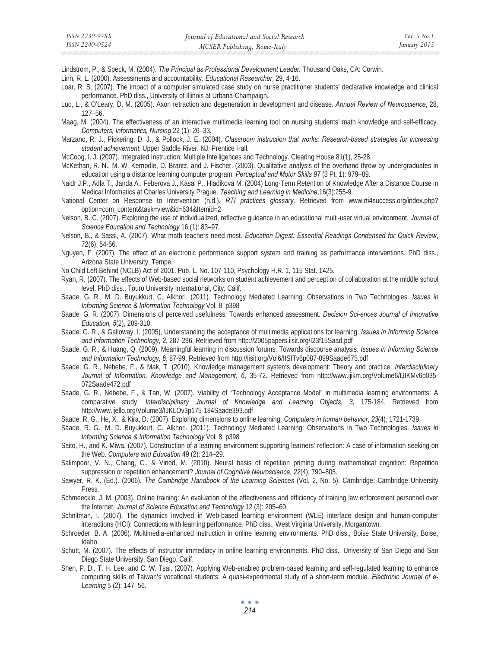Lindstrom, P., & Speck, M. (2004). *The Principal as Professional Development Leader.* Thousand Oaks, CA: Corwin.

- Linn, R. L. (2000). Assessments and accountability. *Educational Researcher*, 29, 4-16.
- Loar, R. S. (2007). The impact of a computer simulated case study on nurse practitioner students' declarative knowledge and clinical performance. PhD diss., University of Illinois at Urbana-Champaign.
- Luo, L., & O'Leary, D. M. (2005). Axon retraction and degeneration in development and disease. *Annual Review of Neuroscience*, 28, 127–56.
- Maag, M. (2004). The effectiveness of an interactive multimedia learning tool on nursing students' math knowledge and self-efficacy. *Computers, Informatics, Nursing* 22 (1): 26–33.
- Marzano, R. J., Pickering, D. J., & Pollock, J. E. (2004). *Classroom instruction that works: Research-based strategies for increasing student achievement*. Upper Saddle River, NJ: Prentice Hall.
- McCoog, I. J. (2007). Integrated Instruction: Multiple Intelligences and Technology. Clearing House 81(1), 25-28.
- McKethan, R. N., M. W. Kernodle, D. Brantz, and J. Fischer. (2003). Qualitative analysis of the overhand throw by undergraduates in education using a distance learning computer program. *Perceptual and Motor Skills 97* (3 Pt. 1): 979–89.
- Naidr J.P., Adla T., Janda A., Feberova J., Kasal P., Hladikova M. (2004) Long-Term Retention of Knowledge After a Distance Course in Medical Informatics at Charles University Prague. *Teaching and Learning in Medicine*;16(3):255-9.
- National Center on Response to Intervention (n.d.). *RTI practices glossary*. Retrieved from www.rti4success.org/index.php? option=com\_content&task=view&id=634&Itemid=2
- Nelson, B. C. (2007). Exploring the use of individualized, reflective guidance in an educational multi-user virtual environment. *Journal of Science Education and Technology* 16 (1): 83–97.
- Nelson, B., & Sassi, A. (2007). What math teachers need most. *Education Digest: Essential Readings Condensed for Quick Review*, 72(6), 54-56.
- Nguyen, F. (2007). The effect of an electronic performance support system and training as performance interventions. PhD diss., Arizona State University, Tempe.
- No Child Left Behind (NCLB) Act of 2001. Pub. L. No. 107-110, Psychology H.R. 1, 115 Stat. 1425.
- Ryan, R. (2007). The effects of Web-based social networks on student achievement and perception of collaboration at the middle school level. PhD diss., Touro University International, City, Calif.
- Saade, G. R., M. D. Buyukkurt, C. Alkhori. (2011). Technology Mediated Learning: Observations in Two Technologies. *Issues in Informing Science & Information Technology* Vol. 8, p398
- Saade, G. R. (2007). Dimensions of perceived usefulness: Towards enhanced assessment. *Decision Sci-ences Journal of Innovative Education, 5*(2), 289-310.
- Saade, G. R., & Galloway, I. (2005), Understanding the acceptance of multimedia applications for learning. *Issues in Informing Science and Information Technology, 2*, 287-296. Retrieved from http://2005papers.iisit.org/I23f15Saad.pdf
- Saade, G. R., & Huang, Q. (2009). Meaningful learning in discussion forums: Towards discourse analysis. *Issues in Informing Science and Information Technology, 6*, 87-99. Retrieved from http://iisit.org/Vol6/IISITv6p087-099Saade675.pdf
- Saade, G. R., Nebebe, F., & Mak, T. (2010). Knowledge management systems development: Theory and practice. *Interdisciplinary Journal of Information, Knowledge and Management, 6*, 35-72. Retrieved from http://www.ijikm.org/Volume6/IJIKMv6p035- 072Saade472.pdf
- Saade, G. R., Nebebe, F., & Tan, W. (2007). Viability of "Technology Acceptance Model" in multimedia learning environments: A comparative study. *Interdisciplinary Journal of Knowledge and Learning Objects, 3*, 175-184. Retrieved from http://www.ijello.org/Volume3/IJKLOv3p175-184Saade393.pdf
- Saade, R. G., He, X., & Kira, D. (2007). Exploring dimensions to online learning. *Computers in human behavior*, *23*(4), 1721-1739.
- Saade, R. G., M. D. Buyukkurt, C. Alkhori. (2011). Technology Mediated Learning: Observations in Two Technologies. *Issues in Informing Science & Information Technology* Vol. 8, p398
- Saito, H., and K. Miwa. (2007). Construction of a learning environment supporting learners' reflection: A case of information seeking on the Web. *Computers and Education* 49 (2): 214–29.
- Salimpoor, V. N., Chang, C., & Vinod, M. (2010). Neural basis of repetition priming during mathematical cognition: Repetition suppression or repetition enhancement? *Journal of Cognitive Neuroscience, 22*(4), 790–805.
- Sawyer, R. K. (Ed.). (2006). *The Cambridge Handbook of the Learning Sciences* (Vol. 2, No. 5). Cambridge: Cambridge University Press.
- Schmeeckle, J. M. (2003). Online training: An evaluation of the effectiveness and efficiency of training law enforcement personnel over the Internet. *Journal of Science Education and Technology* 12 (3): 205–60.
- Schnitman, I. (2007). The dynamics involved in Web-based learning environment (WLE) interface design and human-computer interactions (HCI): Connections with learning performance. PhD diss., West Virginia University, Morgantown.
- Schroeder, B. A. (2006). Multimedia-enhanced instruction in online learning environments. PhD diss., Boise State University, Boise, Idaho.
- Schutt, M. (2007). The effects of instructor immediacy in online learning environments. PhD diss., University of San Diego and San Diego State University, San Diego, Calif.
- Shen, P. D., T. H. Lee, and C. W. Tsai. (2007). Applying Web-enabled problem-based learning and self-regulated learning to enhance computing skills of Taiwan's vocational students: A quasi-experimental study of a short-term module. *Electronic Journal of e-Learning* 5 (2): 147–56.